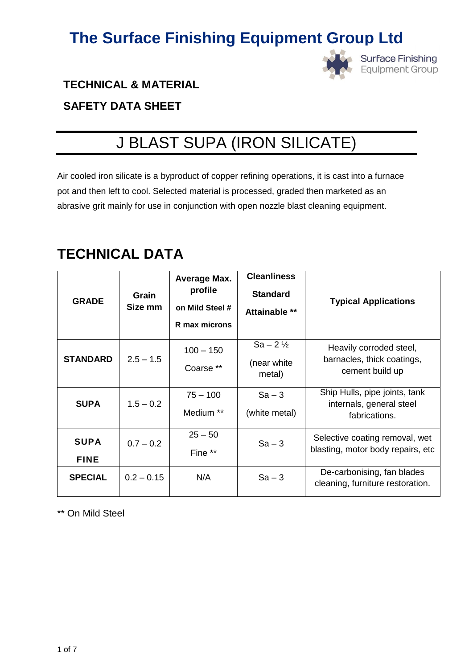

**Surface Finishing Equipment Group** 

### **TECHNICAL & MATERIAL**

### **SAFETY DATA SHEET**

# J BLAST SUPA (IRON SILICATE)

Air cooled iron silicate is a byproduct of copper refining operations, it is cast into a furnace pot and then left to cool. Selected material is processed, graded then marketed as an abrasive grit mainly for use in conjunction with open nozzle blast cleaning equipment.

### **TECHNICAL DATA**

| <b>GRADE</b>               | Grain<br>Size mm | <b>Average Max.</b><br>profile<br>on Mild Steel #<br>R max microns | <b>Cleanliness</b><br><b>Standard</b><br>Attainable ** | <b>Typical Applications</b>                                                |
|----------------------------|------------------|--------------------------------------------------------------------|--------------------------------------------------------|----------------------------------------------------------------------------|
| <b>STANDARD</b>            | $2.5 - 1.5$      | $100 - 150$<br>Coarse **                                           | $Sa - 2\frac{1}{2}$<br>(near white<br>metal)           | Heavily corroded steel,<br>barnacles, thick coatings,<br>cement build up   |
| <b>SUPA</b>                | $1.5 - 0.2$      | $75 - 100$<br>Medium **                                            | $Sa - 3$<br>(white metal)                              | Ship Hulls, pipe joints, tank<br>internals, general steel<br>fabrications. |
| <b>SUPA</b><br><b>FINE</b> | $0.7 - 0.2$      | $25 - 50$<br>Fine **                                               | $Sa - 3$                                               | Selective coating removal, wet<br>blasting, motor body repairs, etc        |
| <b>SPECIAL</b>             | $0.2 - 0.15$     | N/A                                                                | $Sa - 3$                                               | De-carbonising, fan blades<br>cleaning, furniture restoration.             |

\*\* On Mild Steel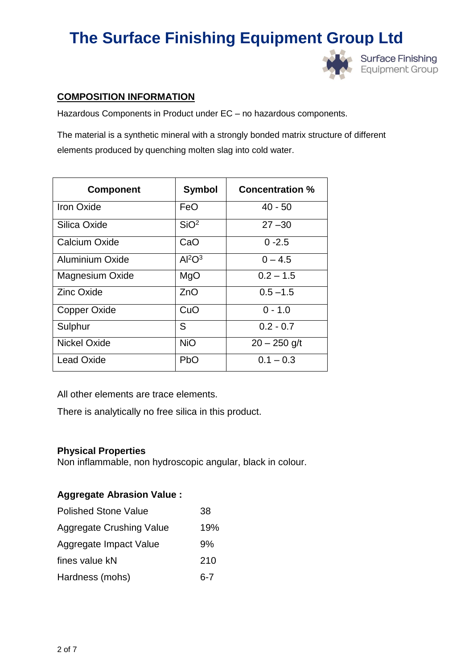

### **COMPOSITION INFORMATION**

Hazardous Components in Product under EC – no hazardous components.

The material is a synthetic mineral with a strongly bonded matrix structure of different elements produced by quenching molten slag into cold water.

| <b>Component</b>       | <b>Symbol</b>                  | <b>Concentration %</b> |
|------------------------|--------------------------------|------------------------|
| <b>Iron Oxide</b>      | FeO                            | $40 - 50$              |
| Silica Oxide           | SiO <sup>2</sup>               | $27 - 30$              |
| Calcium Oxide          | CaO                            | $0 - 2.5$              |
| Aluminium Oxide        | Al <sup>2</sup> O <sup>3</sup> | $0 - 4.5$              |
| <b>Magnesium Oxide</b> | MgO                            | $0.2 - 1.5$            |
| <b>Zinc Oxide</b>      | ZnO                            | $0.5 - 1.5$            |
| Copper Oxide           | CuO                            | $0 - 1.0$              |
| Sulphur                | S                              | $0.2 - 0.7$            |
| Nickel Oxide           | <b>NiO</b>                     | $20 - 250$ g/t         |
| <b>Lead Oxide</b>      | <b>PbO</b>                     | $0.1 - 0.3$            |

All other elements are trace elements.

There is analytically no free silica in this product.

### **Physical Properties**

Non inflammable, non hydroscopic angular, black in colour.

### **Aggregate Abrasion Value :**

| <b>Polished Stone Value</b>     | 38  |
|---------------------------------|-----|
| <b>Aggregate Crushing Value</b> | 19% |
| Aggregate Impact Value          | 9%  |
| fines value kN                  | 210 |
| Hardness (mohs)                 | հ-7 |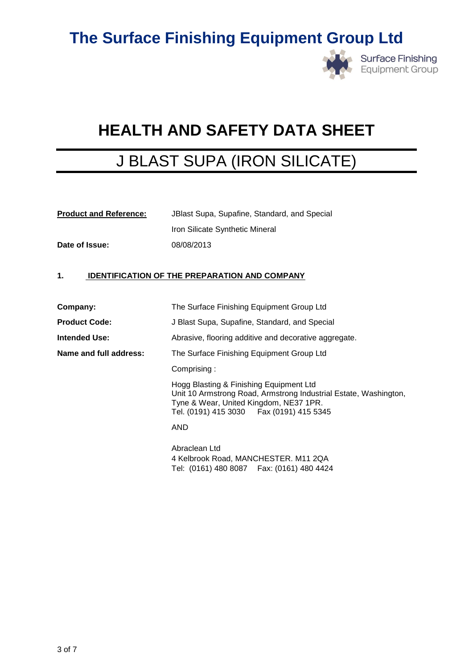

**Surface Finishing** Equipment Group

# **HEALTH AND SAFETY DATA SHEET**

### J BLAST SUPA (IRON SILICATE)

| <b>Product and Reference:</b> | JBlast Supa, Supafine, Standard, and Special |  |
|-------------------------------|----------------------------------------------|--|
|                               | Iron Silicate Synthetic Mineral              |  |
| Date of Issue:                | 08/08/2013                                   |  |

### **1. IDENTIFICATION OF THE PREPARATION AND COMPANY**

| Company:               | The Surface Finishing Equipment Group Ltd                                                                                                                                                           |
|------------------------|-----------------------------------------------------------------------------------------------------------------------------------------------------------------------------------------------------|
| <b>Product Code:</b>   | J Blast Supa, Supafine, Standard, and Special                                                                                                                                                       |
| <b>Intended Use:</b>   | Abrasive, flooring additive and decorative aggregate.                                                                                                                                               |
| Name and full address: | The Surface Finishing Equipment Group Ltd                                                                                                                                                           |
|                        | Comprising:                                                                                                                                                                                         |
|                        | Hogg Blasting & Finishing Equipment Ltd<br>Unit 10 Armstrong Road, Armstrong Industrial Estate, Washington,<br>Tyne & Wear, United Kingdom, NE37 1PR.<br>Tel. (0191) 415 3030   Fax (0191) 415 5345 |
|                        | AND                                                                                                                                                                                                 |
|                        | Abraclean Ltd<br>4 Kelbrook Road, MANCHESTER. M11 2QA<br>Tel: (0161) 480 8087  Fax: (0161) 480 4424                                                                                                 |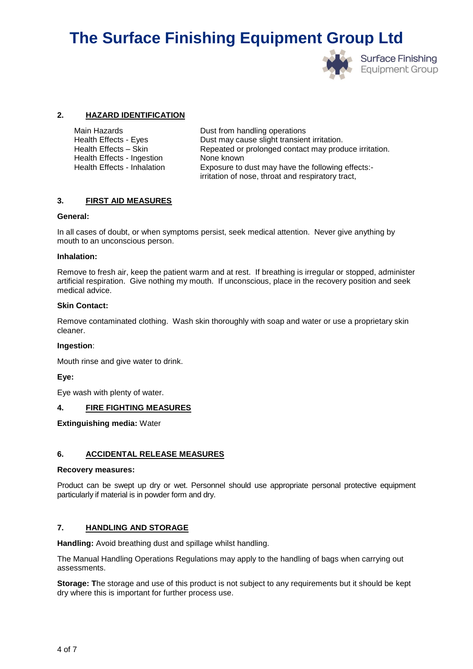

**Surface Finishing Equipment Group** 

#### **2. HAZARD IDENTIFICATION**

| Main Hazards                | Dust from handling operations                                                                          |
|-----------------------------|--------------------------------------------------------------------------------------------------------|
| Health Effects - Eyes       | Dust may cause slight transient irritation.                                                            |
| Health Effects - Skin       | Repeated or prolonged contact may produce irritation.                                                  |
| Health Effects - Ingestion  | None known                                                                                             |
| Health Effects - Inhalation | Exposure to dust may have the following effects:-<br>irritation of nose, throat and respiratory tract, |

#### **3. FIRST AID MEASURES**

#### **General:**

In all cases of doubt, or when symptoms persist, seek medical attention. Never give anything by mouth to an unconscious person.

#### **Inhalation:**

Remove to fresh air, keep the patient warm and at rest. If breathing is irregular or stopped, administer artificial respiration. Give nothing my mouth. If unconscious, place in the recovery position and seek medical advice.

#### **Skin Contact:**

Remove contaminated clothing. Wash skin thoroughly with soap and water or use a proprietary skin cleaner.

#### **Ingestion**:

Mouth rinse and give water to drink.

#### **Eye:**

Eye wash with plenty of water.

#### **4. FIRE FIGHTING MEASURES**

#### **Extinguishing media:** Water

#### **6. ACCIDENTAL RELEASE MEASURES**

#### **Recovery measures:**

Product can be swept up dry or wet. Personnel should use appropriate personal protective equipment particularly if material is in powder form and dry.

#### **7. HANDLING AND STORAGE**

**Handling:** Avoid breathing dust and spillage whilst handling.

The Manual Handling Operations Regulations may apply to the handling of bags when carrying out assessments.

**Storage: T**he storage and use of this product is not subject to any requirements but it should be kept dry where this is important for further process use.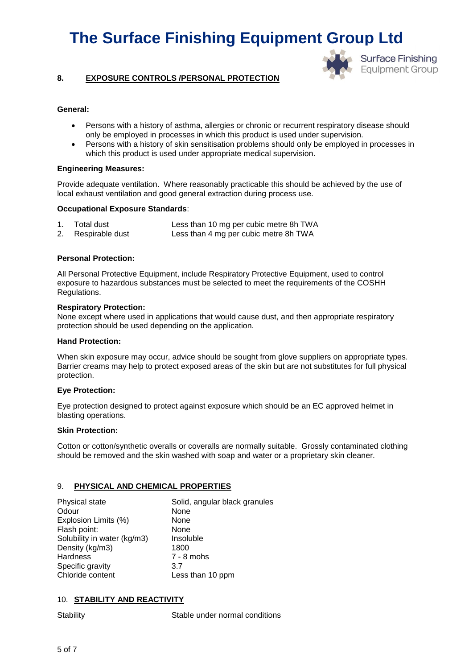

#### **8. EXPOSURE CONTROLS /PERSONAL PROTECTION**

#### **General:**

- Persons with a history of asthma, allergies or chronic or recurrent respiratory disease should only be employed in processes in which this product is used under supervision.
- Persons with a history of skin sensitisation problems should only be employed in processes in which this product is used under appropriate medical supervision.

#### **Engineering Measures:**

Provide adequate ventilation. Where reasonably practicable this should be achieved by the use of local exhaust ventilation and good general extraction during process use.

#### **Occupational Exposure Standards**:

| $1_{\cdot}$ | Total dust         | Less than 10 mg per cubic metre 8h TWA |
|-------------|--------------------|----------------------------------------|
|             | 2. Respirable dust | Less than 4 mg per cubic metre 8h TWA  |

#### **Personal Protection:**

All Personal Protective Equipment, include Respiratory Protective Equipment, used to control exposure to hazardous substances must be selected to meet the requirements of the COSHH Regulations.

#### **Respiratory Protection:**

None except where used in applications that would cause dust, and then appropriate respiratory protection should be used depending on the application.

#### **Hand Protection:**

When skin exposure may occur, advice should be sought from glove suppliers on appropriate types. Barrier creams may help to protect exposed areas of the skin but are not substitutes for full physical protection.

#### **Eye Protection:**

Eye protection designed to protect against exposure which should be an EC approved helmet in blasting operations.

#### **Skin Protection:**

Cotton or cotton/synthetic overalls or coveralls are normally suitable. Grossly contaminated clothing should be removed and the skin washed with soap and water or a proprietary skin cleaner.

#### 9. **PHYSICAL AND CHEMICAL PROPERTIES**

| Physical state              | Solid, angular black granules |
|-----------------------------|-------------------------------|
| Odour                       | None                          |
| Explosion Limits (%)        | None                          |
| Flash point:                | None                          |
| Solubility in water (kg/m3) | Insoluble                     |
| Density (kg/m3)             | 1800                          |
| Hardness                    | $7 - 8$ mohs                  |
| Specific gravity            | 3.7                           |
| Chloride content            | Less than 10 ppm              |

#### 10. **STABILITY AND REACTIVITY**

Stability Stable under normal conditions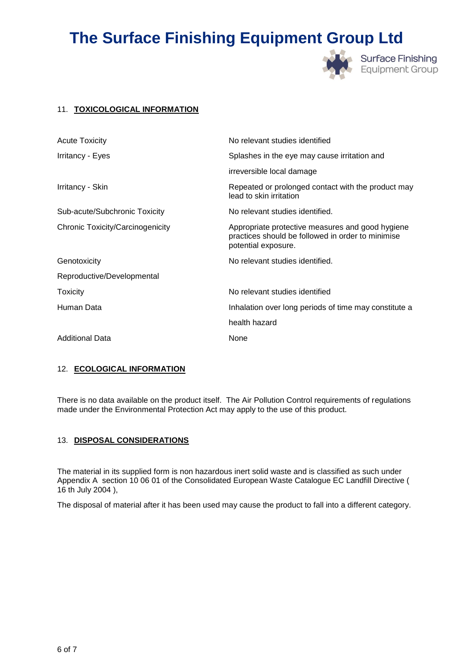

**Surface Finishing Equipment Group** 

#### 11. **TOXICOLOGICAL INFORMATION**

| <b>Acute Toxicity</b>                   | No relevant studies identified                                                                                               |
|-----------------------------------------|------------------------------------------------------------------------------------------------------------------------------|
| Irritancy - Eyes                        | Splashes in the eye may cause irritation and                                                                                 |
|                                         | irreversible local damage                                                                                                    |
| Irritancy - Skin                        | Repeated or prolonged contact with the product may<br>lead to skin irritation                                                |
| Sub-acute/Subchronic Toxicity           | No relevant studies identified.                                                                                              |
| <b>Chronic Toxicity/Carcinogenicity</b> | Appropriate protective measures and good hygiene<br>practices should be followed in order to minimise<br>potential exposure. |
| Genotoxicity                            | No relevant studies identified.                                                                                              |
| Reproductive/Developmental              |                                                                                                                              |
| Toxicity                                | No relevant studies identified                                                                                               |
| Human Data                              | Inhalation over long periods of time may constitute a                                                                        |
|                                         | health hazard                                                                                                                |
| <b>Additional Data</b>                  | None                                                                                                                         |

#### 12. **ECOLOGICAL INFORMATION**

There is no data available on the product itself. The Air Pollution Control requirements of regulations made under the Environmental Protection Act may apply to the use of this product.

#### 13. **DISPOSAL CONSIDERATIONS**

The material in its supplied form is non hazardous inert solid waste and is classified as such under Appendix A section 10 06 01 of the Consolidated European Waste Catalogue EC Landfill Directive ( 16 th July 2004 ),

The disposal of material after it has been used may cause the product to fall into a different category.